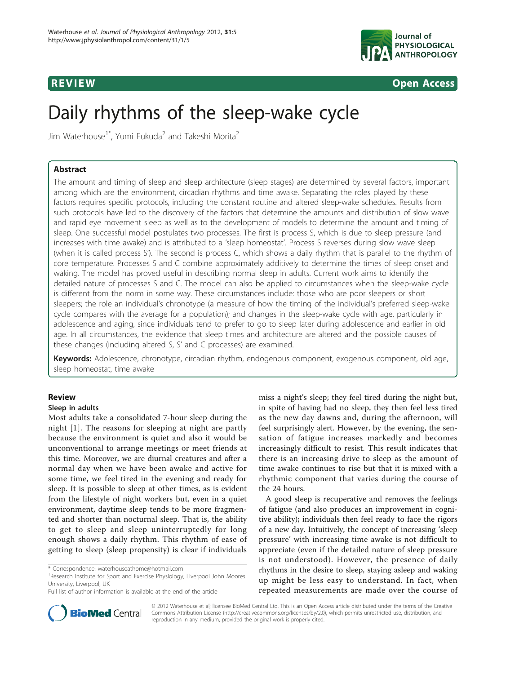

R EVI EW OPEN ACCESS OF THE EW OPEN ACCESS OF THE EWOLF AND THE EWOLF ACCESS OF THE EXTENSION OF THE EXTENSION<br>References

# Daily rhythms of the sleep-wake cycle

Jim Waterhouse<sup>1\*</sup>, Yumi Fukuda<sup>2</sup> and Takeshi Morita<sup>2</sup>

# **Abstract**

The amount and timing of sleep and sleep architecture (sleep stages) are determined by several factors, important among which are the environment, circadian rhythms and time awake. Separating the roles played by these factors requires specific protocols, including the constant routine and altered sleep-wake schedules. Results from such protocols have led to the discovery of the factors that determine the amounts and distribution of slow wave and rapid eye movement sleep as well as to the development of models to determine the amount and timing of sleep. One successful model postulates two processes. The first is process S, which is due to sleep pressure (and increases with time awake) and is attributed to a 'sleep homeostat'. Process S reverses during slow wave sleep (when it is called process S'). The second is process C, which shows a daily rhythm that is parallel to the rhythm of core temperature. Processes S and C combine approximately additively to determine the times of sleep onset and waking. The model has proved useful in describing normal sleep in adults. Current work aims to identify the detailed nature of processes S and C. The model can also be applied to circumstances when the sleep-wake cycle is different from the norm in some way. These circumstances include: those who are poor sleepers or short sleepers; the role an individual's chronotype (a measure of how the timing of the individual's preferred sleep-wake cycle compares with the average for a population); and changes in the sleep-wake cycle with age, particularly in adolescence and aging, since individuals tend to prefer to go to sleep later during adolescence and earlier in old age. In all circumstances, the evidence that sleep times and architecture are altered and the possible causes of these changes (including altered S, S' and C processes) are examined.

Keywords: Adolescence, chronotype, circadian rhythm, endogenous component, exogenous component, old age, sleep homeostat, time awake

# Sleep in adults

Most adults take a consolidated 7-hour sleep during the night [[1](#page-10-0)]. The reasons for sleeping at night are partly because the environment is quiet and also it would be unconventional to arrange meetings or meet friends at this time. Moreover, we are diurnal creatures and after a normal day when we have been awake and active for some time, we feel tired in the evening and ready for sleep. It is possible to sleep at other times, as is evident from the lifestyle of night workers but, even in a quiet environment, daytime sleep tends to be more fragmented and shorter than nocturnal sleep. That is, the ability to get to sleep and sleep uninterruptedly for long enough shows a daily rhythm. This rhythm of ease of getting to sleep (sleep propensity) is clear if individuals

miss a night's sleep; they feel tired during the night but, in spite of having had no sleep, they then feel less tired as the new day dawns and, during the afternoon, will feel surprisingly alert. However, by the evening, the sensation of fatigue increases markedly and becomes increasingly difficult to resist. This result indicates that there is an increasing drive to sleep as the amount of time awake continues to rise but that it is mixed with a rhythmic component that varies during the course of the 24 hours.

A good sleep is recuperative and removes the feelings of fatigue (and also produces an improvement in cognitive ability); individuals then feel ready to face the rigors of a new day. Intuitively, the concept of increasing 'sleep pressure' with increasing time awake is not difficult to appreciate (even if the detailed nature of sleep pressure is not understood). However, the presence of daily rhythms in the desire to sleep, staying asleep and waking up might be less easy to understand. In fact, when repeated measurements are made over the course of



© 2012 Waterhouse et al; licensee BioMed Central Ltd. This is an Open Access article distributed under the terms of the Creative Commons Attribution License [\(http://creativecommons.org/licenses/by/2.0](http://creativecommons.org/licenses/by/2.0)), which permits unrestricted use, distribution, and reproduction in any medium, provided the original work is properly cited.

<sup>\*</sup> Correspondence: [waterhouseathome@hotmail.com](mailto:waterhouseathome@hotmail.com)

<sup>&</sup>lt;sup>1</sup> Research Institute for Sport and Exercise Physiology, Liverpool John Moores University, Liverpool, UK

Full list of author information is available at the end of the article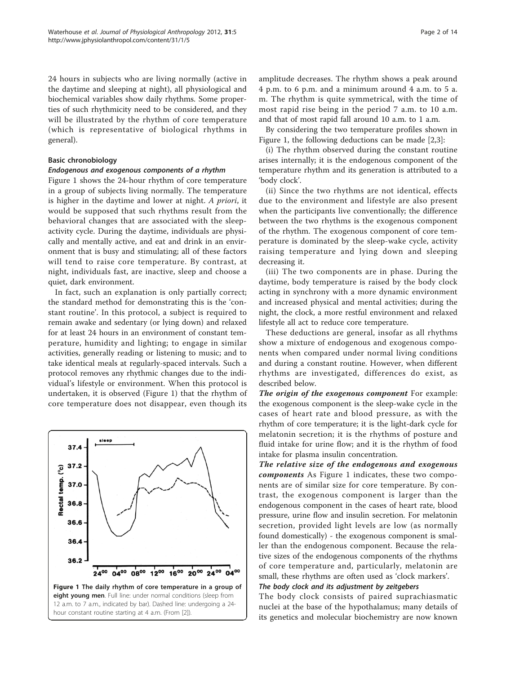<span id="page-1-0"></span>24 hours in subjects who are living normally (active in the daytime and sleeping at night), all physiological and biochemical variables show daily rhythms. Some properties of such rhythmicity need to be considered, and they will be illustrated by the rhythm of core temperature (which is representative of biological rhythms in general).

#### Basic chronobiology

## Endogenous and exogenous components of a rhythm

Figure 1 shows the 24-hour rhythm of core temperature in a group of subjects living normally. The temperature is higher in the daytime and lower at night. A priori, it would be supposed that such rhythms result from the behavioral changes that are associated with the sleepactivity cycle. During the daytime, individuals are physically and mentally active, and eat and drink in an environment that is busy and stimulating; all of these factors will tend to raise core temperature. By contrast, at night, individuals fast, are inactive, sleep and choose a quiet, dark environment.

In fact, such an explanation is only partially correct; the standard method for demonstrating this is the 'constant routine'. In this protocol, a subject is required to remain awake and sedentary (or lying down) and relaxed for at least 24 hours in an environment of constant temperature, humidity and lighting; to engage in similar activities, generally reading or listening to music; and to take identical meals at regularly-spaced intervals. Such a protocol removes any rhythmic changes due to the individual's lifestyle or environment. When this protocol is undertaken, it is observed (Figure 1) that the rhythm of core temperature does not disappear, even though its



amplitude decreases. The rhythm shows a peak around 4 p.m. to 6 p.m. and a minimum around 4 a.m. to 5 a. m. The rhythm is quite symmetrical, with the time of most rapid rise being in the period 7 a.m. to 10 a.m. and that of most rapid fall around 10 a.m. to 1 a.m.

By considering the two temperature profiles shown in Figure 1, the following deductions can be made [[2,3\]](#page-10-0):

(i) The rhythm observed during the constant routine arises internally; it is the endogenous component of the temperature rhythm and its generation is attributed to a 'body clock'.

(ii) Since the two rhythms are not identical, effects due to the environment and lifestyle are also present when the participants live conventionally; the difference between the two rhythms is the exogenous component of the rhythm. The exogenous component of core temperature is dominated by the sleep-wake cycle, activity raising temperature and lying down and sleeping decreasing it.

(iii) The two components are in phase. During the daytime, body temperature is raised by the body clock acting in synchrony with a more dynamic environment and increased physical and mental activities; during the night, the clock, a more restful environment and relaxed lifestyle all act to reduce core temperature.

These deductions are general, insofar as all rhythms show a mixture of endogenous and exogenous components when compared under normal living conditions and during a constant routine. However, when different rhythms are investigated, differences do exist, as described below.

The origin of the exogenous component For example: the exogenous component is the sleep-wake cycle in the cases of heart rate and blood pressure, as with the rhythm of core temperature; it is the light-dark cycle for melatonin secretion; it is the rhythms of posture and fluid intake for urine flow; and it is the rhythm of food intake for plasma insulin concentration.

The relative size of the endogenous and exogenous components As Figure 1 indicates, these two components are of similar size for core temperature. By contrast, the exogenous component is larger than the endogenous component in the cases of heart rate, blood pressure, urine flow and insulin secretion. For melatonin secretion, provided light levels are low (as normally found domestically) - the exogenous component is smaller than the endogenous component. Because the relative sizes of the endogenous components of the rhythms of core temperature and, particularly, melatonin are small, these rhythms are often used as 'clock markers'. The body clock and its adjustment by zeitgebers

The body clock consists of paired suprachiasmatic nuclei at the base of the hypothalamus; many details of its genetics and molecular biochemistry are now known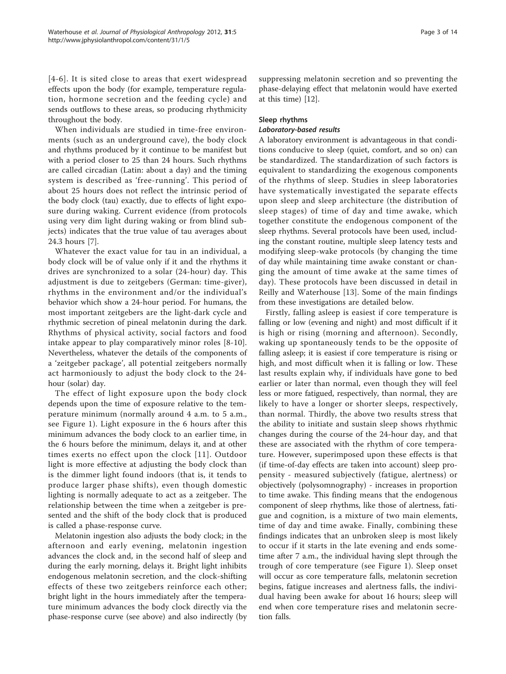[[4-6\]](#page-10-0). It is sited close to areas that exert widespread effects upon the body (for example, temperature regulation, hormone secretion and the feeding cycle) and sends outflows to these areas, so producing rhythmicity throughout the body.

When individuals are studied in time-free environments (such as an underground cave), the body clock and rhythms produced by it continue to be manifest but with a period closer to 25 than 24 hours. Such rhythms are called circadian (Latin: about a day) and the timing system is described as 'free-running'. This period of about 25 hours does not reflect the intrinsic period of the body clock (tau) exactly, due to effects of light exposure during waking. Current evidence (from protocols using very dim light during waking or from blind subjects) indicates that the true value of tau averages about 24.3 hours [\[7](#page-10-0)].

Whatever the exact value for tau in an individual, a body clock will be of value only if it and the rhythms it drives are synchronized to a solar (24-hour) day. This adjustment is due to zeitgebers (German: time-giver), rhythms in the environment and/or the individual's behavior which show a 24-hour period. For humans, the most important zeitgebers are the light-dark cycle and rhythmic secretion of pineal melatonin during the dark. Rhythms of physical activity, social factors and food intake appear to play comparatively minor roles [\[8-10](#page-10-0)]. Nevertheless, whatever the details of the components of a 'zeitgeber package', all potential zeitgebers normally act harmoniously to adjust the body clock to the 24 hour (solar) day.

The effect of light exposure upon the body clock depends upon the time of exposure relative to the temperature minimum (normally around 4 a.m. to 5 a.m., see Figure [1](#page-1-0)). Light exposure in the 6 hours after this minimum advances the body clock to an earlier time, in the 6 hours before the minimum, delays it, and at other times exerts no effect upon the clock [[11](#page-10-0)]. Outdoor light is more effective at adjusting the body clock than is the dimmer light found indoors (that is, it tends to produce larger phase shifts), even though domestic lighting is normally adequate to act as a zeitgeber. The relationship between the time when a zeitgeber is presented and the shift of the body clock that is produced is called a phase-response curve.

Melatonin ingestion also adjusts the body clock; in the afternoon and early evening, melatonin ingestion advances the clock and, in the second half of sleep and during the early morning, delays it. Bright light inhibits endogenous melatonin secretion, and the clock-shifting effects of these two zeitgebers reinforce each other; bright light in the hours immediately after the temperature minimum advances the body clock directly via the phase-response curve (see above) and also indirectly (by suppressing melatonin secretion and so preventing the phase-delaying effect that melatonin would have exerted at this time) [\[12\]](#page-10-0).

### Sleep rhythms

#### Laboratory-based results

A laboratory environment is advantageous in that conditions conducive to sleep (quiet, comfort, and so on) can be standardized. The standardization of such factors is equivalent to standardizing the exogenous components of the rhythms of sleep. Studies in sleep laboratories have systematically investigated the separate effects upon sleep and sleep architecture (the distribution of sleep stages) of time of day and time awake, which together constitute the endogenous component of the sleep rhythms. Several protocols have been used, including the constant routine, multiple sleep latency tests and modifying sleep-wake protocols (by changing the time of day while maintaining time awake constant or changing the amount of time awake at the same times of day). These protocols have been discussed in detail in Reilly and Waterhouse [\[13](#page-10-0)]. Some of the main findings from these investigations are detailed below.

Firstly, falling asleep is easiest if core temperature is falling or low (evening and night) and most difficult if it is high or rising (morning and afternoon). Secondly, waking up spontaneously tends to be the opposite of falling asleep; it is easiest if core temperature is rising or high, and most difficult when it is falling or low. These last results explain why, if individuals have gone to bed earlier or later than normal, even though they will feel less or more fatigued, respectively, than normal, they are likely to have a longer or shorter sleeps, respectively, than normal. Thirdly, the above two results stress that the ability to initiate and sustain sleep shows rhythmic changes during the course of the 24-hour day, and that these are associated with the rhythm of core temperature. However, superimposed upon these effects is that (if time-of-day effects are taken into account) sleep propensity - measured subjectively (fatigue, alertness) or objectively (polysomnography) - increases in proportion to time awake. This finding means that the endogenous component of sleep rhythms, like those of alertness, fatigue and cognition, is a mixture of two main elements, time of day and time awake. Finally, combining these findings indicates that an unbroken sleep is most likely to occur if it starts in the late evening and ends sometime after 7 a.m., the individual having slept through the trough of core temperature (see Figure [1\)](#page-1-0). Sleep onset will occur as core temperature falls, melatonin secretion begins, fatigue increases and alertness falls, the individual having been awake for about 16 hours; sleep will end when core temperature rises and melatonin secretion falls.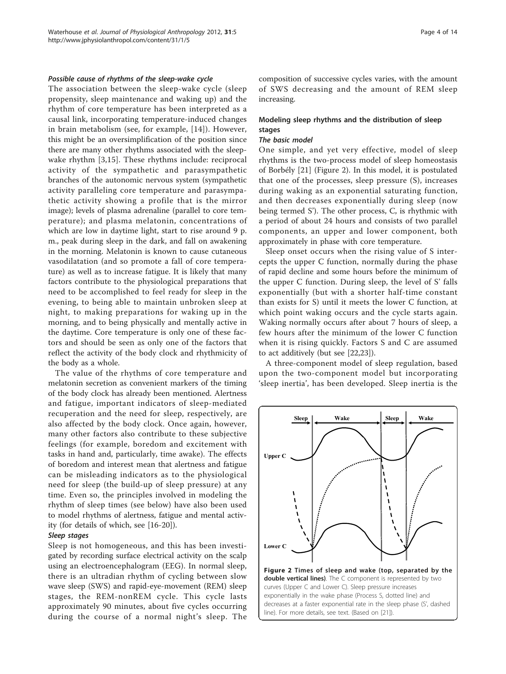#### <span id="page-3-0"></span>Possible cause of rhythms of the sleep-wake cycle

The association between the sleep-wake cycle (sleep propensity, sleep maintenance and waking up) and the rhythm of core temperature has been interpreted as a causal link, incorporating temperature-induced changes in brain metabolism (see, for example, [\[14](#page-10-0)]). However, this might be an oversimplification of the position since there are many other rhythms associated with the sleepwake rhythm [[3,](#page-10-0)[15](#page-11-0)]. These rhythms include: reciprocal activity of the sympathetic and parasympathetic branches of the autonomic nervous system (sympathetic activity paralleling core temperature and parasympathetic activity showing a profile that is the mirror image); levels of plasma adrenaline (parallel to core temperature); and plasma melatonin, concentrations of which are low in daytime light, start to rise around 9 p. m., peak during sleep in the dark, and fall on awakening in the morning. Melatonin is known to cause cutaneous vasodilatation (and so promote a fall of core temperature) as well as to increase fatigue. It is likely that many factors contribute to the physiological preparations that need to be accomplished to feel ready for sleep in the evening, to being able to maintain unbroken sleep at night, to making preparations for waking up in the morning, and to being physically and mentally active in the daytime. Core temperature is only one of these factors and should be seen as only one of the factors that reflect the activity of the body clock and rhythmicity of the body as a whole.

The value of the rhythms of core temperature and melatonin secretion as convenient markers of the timing of the body clock has already been mentioned. Alertness and fatigue, important indicators of sleep-mediated recuperation and the need for sleep, respectively, are also affected by the body clock. Once again, however, many other factors also contribute to these subjective feelings (for example, boredom and excitement with tasks in hand and, particularly, time awake). The effects of boredom and interest mean that alertness and fatigue can be misleading indicators as to the physiological need for sleep (the build-up of sleep pressure) at any time. Even so, the principles involved in modeling the rhythm of sleep times (see below) have also been used to model rhythms of alertness, fatigue and mental activity (for details of which, see [[16-20](#page-11-0)]).

#### Sleep stages

Sleep is not homogeneous, and this has been investigated by recording surface electrical activity on the scalp using an electroencephalogram (EEG). In normal sleep, there is an ultradian rhythm of cycling between slow wave sleep (SWS) and rapid-eye-movement (REM) sleep stages, the REM-nonREM cycle. This cycle lasts approximately 90 minutes, about five cycles occurring during the course of a normal night's sleep. The composition of successive cycles varies, with the amount of SWS decreasing and the amount of REM sleep increasing.

# Modeling sleep rhythms and the distribution of sleep stages

#### The basic model

One simple, and yet very effective, model of sleep rhythms is the two-process model of sleep homeostasis of Borbély [[21\]](#page-11-0) (Figure 2). In this model, it is postulated that one of the processes, sleep pressure (S), increases during waking as an exponential saturating function, and then decreases exponentially during sleep (now being termed S'). The other process, C, is rhythmic with a period of about 24 hours and consists of two parallel components, an upper and lower component, both approximately in phase with core temperature.

Sleep onset occurs when the rising value of S intercepts the upper C function, normally during the phase of rapid decline and some hours before the minimum of the upper C function. During sleep, the level of S' falls exponentially (but with a shorter half-time constant than exists for S) until it meets the lower C function, at which point waking occurs and the cycle starts again. Waking normally occurs after about 7 hours of sleep, a few hours after the minimum of the lower C function when it is rising quickly. Factors S and C are assumed to act additively (but see [\[22,23\]](#page-11-0)).

A three-component model of sleep regulation, based upon the two-component model but incorporating 'sleep inertia', has been developed. Sleep inertia is the

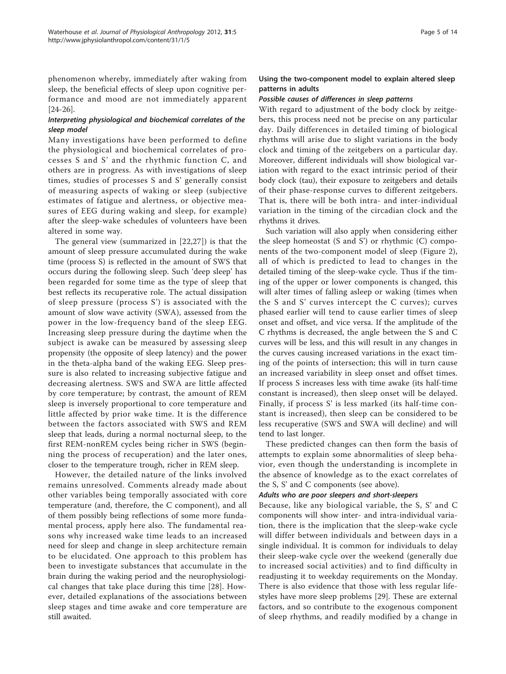phenomenon whereby, immediately after waking from sleep, the beneficial effects of sleep upon cognitive performance and mood are not immediately apparent [[24-26\]](#page-11-0).

# Interpreting physiological and biochemical correlates of the sleep model

Many investigations have been performed to define the physiological and biochemical correlates of processes S and S' and the rhythmic function C, and others are in progress. As with investigations of sleep times, studies of processes S and S' generally consist of measuring aspects of waking or sleep (subjective estimates of fatigue and alertness, or objective measures of EEG during waking and sleep, for example) after the sleep-wake schedules of volunteers have been altered in some way.

The general view (summarized in [[22,27](#page-11-0)]) is that the amount of sleep pressure accumulated during the wake time (process S) is reflected in the amount of SWS that occurs during the following sleep. Such 'deep sleep' has been regarded for some time as the type of sleep that best reflects its recuperative role. The actual dissipation of sleep pressure (process S') is associated with the amount of slow wave activity (SWA), assessed from the power in the low-frequency band of the sleep EEG. Increasing sleep pressure during the daytime when the subject is awake can be measured by assessing sleep propensity (the opposite of sleep latency) and the power in the theta-alpha band of the waking EEG. Sleep pressure is also related to increasing subjective fatigue and decreasing alertness. SWS and SWA are little affected by core temperature; by contrast, the amount of REM sleep is inversely proportional to core temperature and little affected by prior wake time. It is the difference between the factors associated with SWS and REM sleep that leads, during a normal nocturnal sleep, to the first REM-nonREM cycles being richer in SWS (beginning the process of recuperation) and the later ones, closer to the temperature trough, richer in REM sleep.

However, the detailed nature of the links involved remains unresolved. Comments already made about other variables being temporally associated with core temperature (and, therefore, the C component), and all of them possibly being reflections of some more fundamental process, apply here also. The fundamental reasons why increased wake time leads to an increased need for sleep and change in sleep architecture remain to be elucidated. One approach to this problem has been to investigate substances that accumulate in the brain during the waking period and the neurophysiological changes that take place during this time [\[28](#page-11-0)]. However, detailed explanations of the associations between sleep stages and time awake and core temperature are still awaited.

# Using the two-component model to explain altered sleep patterns in adults

# Possible causes of differences in sleep patterns

With regard to adjustment of the body clock by zeitgebers, this process need not be precise on any particular day. Daily differences in detailed timing of biological rhythms will arise due to slight variations in the body clock and timing of the zeitgebers on a particular day. Moreover, different individuals will show biological variation with regard to the exact intrinsic period of their body clock (tau), their exposure to zeitgebers and details of their phase-response curves to different zeitgebers. That is, there will be both intra- and inter-individual variation in the timing of the circadian clock and the rhythms it drives.

Such variation will also apply when considering either the sleep homeostat  $(S \text{ and } S')$  or rhythmic  $(C)$  components of the two-component model of sleep (Figure [2](#page-3-0)), all of which is predicted to lead to changes in the detailed timing of the sleep-wake cycle. Thus if the timing of the upper or lower components is changed, this will alter times of falling asleep or waking (times when the S and S' curves intercept the C curves); curves phased earlier will tend to cause earlier times of sleep onset and offset, and vice versa. If the amplitude of the C rhythms is decreased, the angle between the S and C curves will be less, and this will result in any changes in the curves causing increased variations in the exact timing of the points of intersection; this will in turn cause an increased variability in sleep onset and offset times. If process S increases less with time awake (its half-time constant is increased), then sleep onset will be delayed. Finally, if process S' is less marked (its half-time constant is increased), then sleep can be considered to be less recuperative (SWS and SWA will decline) and will tend to last longer.

These predicted changes can then form the basis of attempts to explain some abnormalities of sleep behavior, even though the understanding is incomplete in the absence of knowledge as to the exact correlates of the S, S' and C components (see above).

# Adults who are poor sleepers and short-sleepers

Because, like any biological variable, the S, S' and C components will show inter- and intra-individual variation, there is the implication that the sleep-wake cycle will differ between individuals and between days in a single individual. It is common for individuals to delay their sleep-wake cycle over the weekend (generally due to increased social activities) and to find difficulty in readjusting it to weekday requirements on the Monday. There is also evidence that those with less regular lifestyles have more sleep problems [\[29](#page-11-0)]. These are external factors, and so contribute to the exogenous component of sleep rhythms, and readily modified by a change in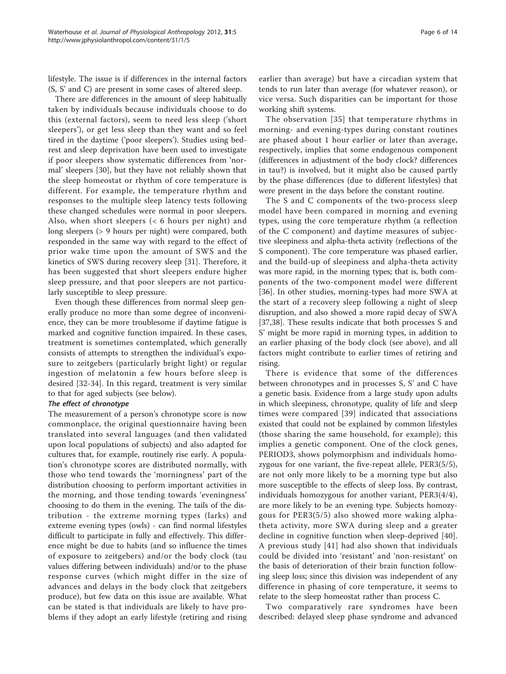lifestyle. The issue is if differences in the internal factors (S, S' and C) are present in some cases of altered sleep.

There are differences in the amount of sleep habitually taken by individuals because individuals choose to do this (external factors), seem to need less sleep ('short sleepers'), or get less sleep than they want and so feel tired in the daytime ('poor sleepers'). Studies using bedrest and sleep deprivation have been used to investigate if poor sleepers show systematic differences from 'normal' sleepers [\[30\]](#page-11-0), but they have not reliably shown that the sleep homeostat or rhythm of core temperature is different. For example, the temperature rhythm and responses to the multiple sleep latency tests following these changed schedules were normal in poor sleepers. Also, when short sleepers (< 6 hours per night) and long sleepers (> 9 hours per night) were compared, both responded in the same way with regard to the effect of prior wake time upon the amount of SWS and the kinetics of SWS during recovery sleep [[31](#page-11-0)]. Therefore, it has been suggested that short sleepers endure higher sleep pressure, and that poor sleepers are not particularly susceptible to sleep pressure.

Even though these differences from normal sleep generally produce no more than some degree of inconvenience, they can be more troublesome if daytime fatigue is marked and cognitive function impaired. In these cases, treatment is sometimes contemplated, which generally consists of attempts to strengthen the individual's exposure to zeitgebers (particularly bright light) or regular ingestion of melatonin a few hours before sleep is desired [[32-34\]](#page-11-0). In this regard, treatment is very similar to that for aged subjects (see below).

### The effect of chronotype

The measurement of a person's chronotype score is now commonplace, the original questionnaire having been translated into several languages (and then validated upon local populations of subjects) and also adapted for cultures that, for example, routinely rise early. A population's chronotype scores are distributed normally, with those who tend towards the 'morningness' part of the distribution choosing to perform important activities in the morning, and those tending towards 'eveningness' choosing to do them in the evening. The tails of the distribution - the extreme morning types (larks) and extreme evening types (owls) - can find normal lifestyles difficult to participate in fully and effectively. This difference might be due to habits (and so influence the times of exposure to zeitgebers) and/or the body clock (tau values differing between individuals) and/or to the phase response curves (which might differ in the size of advances and delays in the body clock that zeitgebers produce), but few data on this issue are available. What can be stated is that individuals are likely to have problems if they adopt an early lifestyle (retiring and rising

earlier than average) but have a circadian system that tends to run later than average (for whatever reason), or vice versa. Such disparities can be important for those working shift systems.

The observation [[35](#page-11-0)] that temperature rhythms in morning- and evening-types during constant routines are phased about 1 hour earlier or later than average, respectively, implies that some endogenous component (differences in adjustment of the body clock? differences in tau?) is involved, but it might also be caused partly by the phase differences (due to different lifestyles) that were present in the days before the constant routine.

The S and C components of the two-process sleep model have been compared in morning and evening types, using the core temperature rhythm (a reflection of the C component) and daytime measures of subjective sleepiness and alpha-theta activity (reflections of the S component). The core temperature was phased earlier, and the build-up of sleepiness and alpha-theta activity was more rapid, in the morning types; that is, both components of the two-component model were different [[36\]](#page-11-0). In other studies, morning-types had more SWA at the start of a recovery sleep following a night of sleep disruption, and also showed a more rapid decay of SWA [[37,38\]](#page-11-0). These results indicate that both processes S and S' might be more rapid in morning types, in addition to an earlier phasing of the body clock (see above), and all factors might contribute to earlier times of retiring and rising.

There is evidence that some of the differences between chronotypes and in processes S, S' and C have a genetic basis. Evidence from a large study upon adults in which sleepiness, chronotype, quality of life and sleep times were compared [[39\]](#page-11-0) indicated that associations existed that could not be explained by common lifestyles (those sharing the same household, for example); this implies a genetic component. One of the clock genes, PERIOD3, shows polymorphism and individuals homozygous for one variant, the five-repeat allele, PER3(5/5), are not only more likely to be a morning type but also more susceptible to the effects of sleep loss. By contrast, individuals homozygous for another variant, PER3(4/4), are more likely to be an evening type. Subjects homozygous for PER3(5/5) also showed more waking alphatheta activity, more SWA during sleep and a greater decline in cognitive function when sleep-deprived [[40](#page-11-0)]. A previous study [[41](#page-11-0)] had also shown that individuals could be divided into 'resistant' and 'non-resistant' on the basis of deterioration of their brain function following sleep loss; since this division was independent of any difference in phasing of core temperature, it seems to relate to the sleep homeostat rather than process C.

Two comparatively rare syndromes have been described: delayed sleep phase syndrome and advanced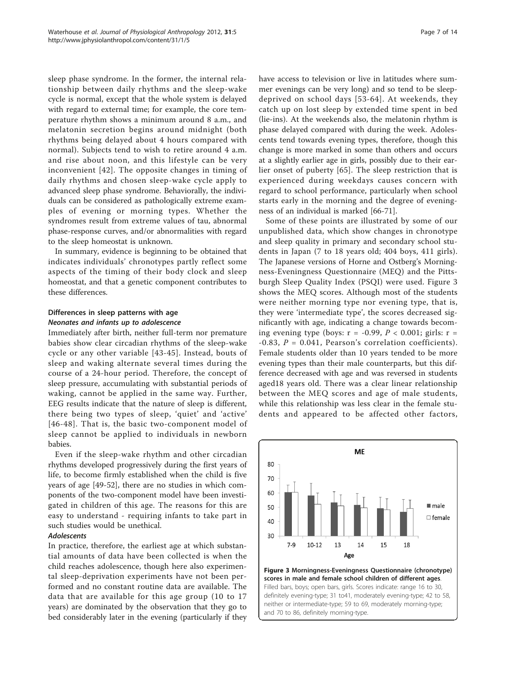sleep phase syndrome. In the former, the internal relationship between daily rhythms and the sleep-wake cycle is normal, except that the whole system is delayed with regard to external time; for example, the core temperature rhythm shows a minimum around 8 a.m., and melatonin secretion begins around midnight (both rhythms being delayed about 4 hours compared with normal). Subjects tend to wish to retire around 4 a.m. and rise about noon, and this lifestyle can be very inconvenient [[42](#page-11-0)]. The opposite changes in timing of daily rhythms and chosen sleep-wake cycle apply to advanced sleep phase syndrome. Behaviorally, the individuals can be considered as pathologically extreme examples of evening or morning types. Whether the syndromes result from extreme values of tau, abnormal phase-response curves, and/or abnormalities with regard to the sleep homeostat is unknown.

In summary, evidence is beginning to be obtained that indicates individuals' chronotypes partly reflect some aspects of the timing of their body clock and sleep homeostat, and that a genetic component contributes to these differences.

# Differences in sleep patterns with age Neonates and infants up to adolescence

Immediately after birth, neither full-term nor premature babies show clear circadian rhythms of the sleep-wake cycle or any other variable [[43-45\]](#page-11-0). Instead, bouts of sleep and waking alternate several times during the course of a 24-hour period. Therefore, the concept of sleep pressure, accumulating with substantial periods of waking, cannot be applied in the same way. Further, EEG results indicate that the nature of sleep is different, there being two types of sleep, 'quiet' and 'active' [[46-48](#page-11-0)]. That is, the basic two-component model of sleep cannot be applied to individuals in newborn babies.

Even if the sleep-wake rhythm and other circadian rhythms developed progressively during the first years of life, to become firmly established when the child is five years of age [\[49](#page-11-0)-[52](#page-11-0)], there are no studies in which components of the two-component model have been investigated in children of this age. The reasons for this are easy to understand - requiring infants to take part in such studies would be unethical.

# Adolescents

In practice, therefore, the earliest age at which substantial amounts of data have been collected is when the child reaches adolescence, though here also experimental sleep-deprivation experiments have not been performed and no constant routine data are available. The data that are available for this age group (10 to 17 years) are dominated by the observation that they go to bed considerably later in the evening (particularly if they have access to television or live in latitudes where summer evenings can be very long) and so tend to be sleepdeprived on school days [[53-64\]](#page-11-0). At weekends, they catch up on lost sleep by extended time spent in bed (lie-ins). At the weekends also, the melatonin rhythm is phase delayed compared with during the week. Adolescents tend towards evening types, therefore, though this change is more marked in some than others and occurs at a slightly earlier age in girls, possibly due to their earlier onset of puberty [[65\]](#page-11-0). The sleep restriction that is experienced during weekdays causes concern with regard to school performance, particularly when school starts early in the morning and the degree of eveningness of an individual is marked [\[66](#page-12-0)-[71](#page-12-0)].

Some of these points are illustrated by some of our unpublished data, which show changes in chronotype and sleep quality in primary and secondary school students in Japan (7 to 18 years old; 404 boys, 411 girls). The Japanese versions of Horne and Ostberg's Morningness-Eveningness Questionnaire (MEQ) and the Pittsburgh Sleep Quality Index (PSQI) were used. Figure 3 shows the MEQ scores. Although most of the students were neither morning type nor evening type, that is, they were 'intermediate type', the scores decreased significantly with age, indicating a change towards becoming evening type (boys:  $r = -0.99$ ,  $P < 0.001$ ; girls:  $r =$  $-0.83$ ,  $P = 0.041$ , Pearson's correlation coefficients). Female students older than 10 years tended to be more evening types than their male counterparts, but this difference decreased with age and was reversed in students aged18 years old. There was a clear linear relationship between the MEQ scores and age of male students, while this relationship was less clear in the female students and appeared to be affected other factors,



and 70 to 86, definitely morning-type.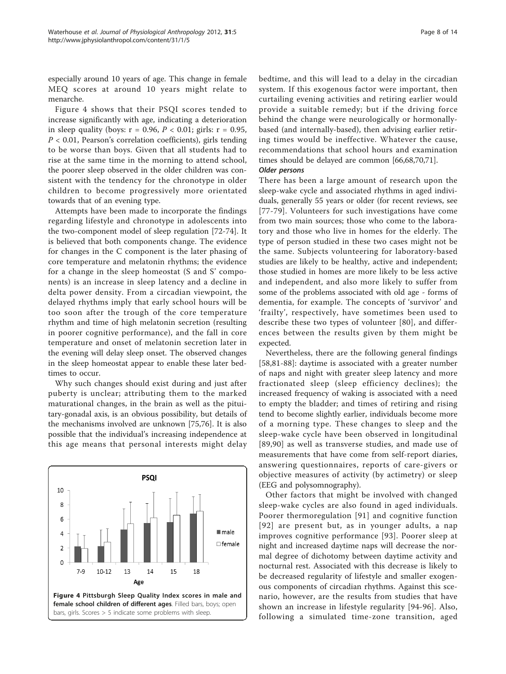especially around 10 years of age. This change in female MEQ scores at around 10 years might relate to menarche.

Figure 4 shows that their PSQI scores tended to increase significantly with age, indicating a deterioration in sleep quality (boys:  $r = 0.96$ ,  $P < 0.01$ ; girls:  $r = 0.95$ ,  $P < 0.01$ , Pearson's correlation coefficients), girls tending to be worse than boys. Given that all students had to rise at the same time in the morning to attend school, the poorer sleep observed in the older children was consistent with the tendency for the chronotype in older children to become progressively more orientated towards that of an evening type.

Attempts have been made to incorporate the findings regarding lifestyle and chronotype in adolescents into the two-component model of sleep regulation [\[72](#page-12-0)-[74\]](#page-12-0). It is believed that both components change. The evidence for changes in the C component is the later phasing of core temperature and melatonin rhythms; the evidence for a change in the sleep homeostat (S and S' components) is an increase in sleep latency and a decline in delta power density. From a circadian viewpoint, the delayed rhythms imply that early school hours will be too soon after the trough of the core temperature rhythm and time of high melatonin secretion (resulting in poorer cognitive performance), and the fall in core temperature and onset of melatonin secretion later in the evening will delay sleep onset. The observed changes in the sleep homeostat appear to enable these later bedtimes to occur.

Why such changes should exist during and just after puberty is unclear; attributing them to the marked maturational changes, in the brain as well as the pituitary-gonadal axis, is an obvious possibility, but details of the mechanisms involved are unknown [[75,76\]](#page-12-0). It is also possible that the individual's increasing independence at this age means that personal interests might delay



bedtime, and this will lead to a delay in the circadian system. If this exogenous factor were important, then curtailing evening activities and retiring earlier would provide a suitable remedy; but if the driving force behind the change were neurologically or hormonallybased (and internally-based), then advising earlier retiring times would be ineffective. Whatever the cause, recommendations that school hours and examination times should be delayed are common [[66,68,70,71](#page-12-0)].

# Older persons

There has been a large amount of research upon the sleep-wake cycle and associated rhythms in aged individuals, generally 55 years or older (for recent reviews, see [[77](#page-12-0)-[79](#page-12-0)]. Volunteers for such investigations have come from two main sources; those who come to the laboratory and those who live in homes for the elderly. The type of person studied in these two cases might not be the same. Subjects volunteering for laboratory-based studies are likely to be healthy, active and independent; those studied in homes are more likely to be less active and independent, and also more likely to suffer from some of the problems associated with old age - forms of dementia, for example. The concepts of 'survivor' and 'frailty', respectively, have sometimes been used to describe these two types of volunteer [\[80\]](#page-12-0), and differences between the results given by them might be expected.

Nevertheless, there are the following general findings [[58](#page-11-0)[,81](#page-12-0)-[88\]](#page-12-0): daytime is associated with a greater number of naps and night with greater sleep latency and more fractionated sleep (sleep efficiency declines); the increased frequency of waking is associated with a need to empty the bladder; and times of retiring and rising tend to become slightly earlier, individuals become more of a morning type. These changes to sleep and the sleep-wake cycle have been observed in longitudinal [[89](#page-12-0),[90](#page-12-0)] as well as transverse studies, and made use of measurements that have come from self-report diaries, answering questionnaires, reports of care-givers or objective measures of activity (by actimetry) or sleep (EEG and polysomnography).

Other factors that might be involved with changed sleep-wake cycles are also found in aged individuals. Poorer thermoregulation [\[91\]](#page-12-0) and cognitive function [[92](#page-12-0)] are present but, as in younger adults, a nap improves cognitive performance [[93](#page-12-0)]. Poorer sleep at night and increased daytime naps will decrease the normal degree of dichotomy between daytime activity and nocturnal rest. Associated with this decrease is likely to be decreased regularity of lifestyle and smaller exogenous components of circadian rhythms. Against this scenario, however, are the results from studies that have shown an increase in lifestyle regularity [[94-96\]](#page-12-0). Also, following a simulated time-zone transition, aged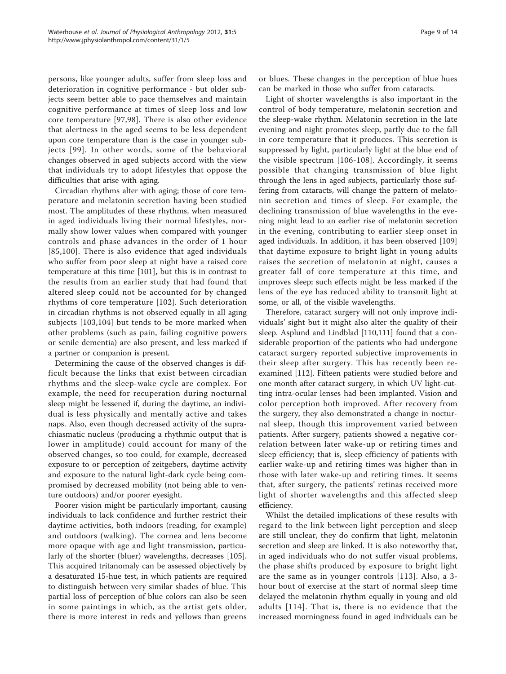persons, like younger adults, suffer from sleep loss and deterioration in cognitive performance - but older subjects seem better able to pace themselves and maintain cognitive performance at times of sleep loss and low core temperature [\[97](#page-12-0),[98\]](#page-12-0). There is also other evidence that alertness in the aged seems to be less dependent upon core temperature than is the case in younger subjects [[99](#page-12-0)]. In other words, some of the behavioral changes observed in aged subjects accord with the view that individuals try to adopt lifestyles that oppose the difficulties that arise with aging.

Circadian rhythms alter with aging; those of core temperature and melatonin secretion having been studied most. The amplitudes of these rhythms, when measured in aged individuals living their normal lifestyles, normally show lower values when compared with younger controls and phase advances in the order of 1 hour [[85,100](#page-12-0)]. There is also evidence that aged individuals who suffer from poor sleep at night have a raised core temperature at this time [[101\]](#page-12-0), but this is in contrast to the results from an earlier study that had found that altered sleep could not be accounted for by changed rhythms of core temperature [\[102](#page-12-0)]. Such deterioration in circadian rhythms is not observed equally in all aging subjects [[103,104](#page-12-0)] but tends to be more marked when other problems (such as pain, failing cognitive powers or senile dementia) are also present, and less marked if a partner or companion is present.

Determining the cause of the observed changes is difficult because the links that exist between circadian rhythms and the sleep-wake cycle are complex. For example, the need for recuperation during nocturnal sleep might be lessened if, during the daytime, an individual is less physically and mentally active and takes naps. Also, even though decreased activity of the suprachiasmatic nucleus (producing a rhythmic output that is lower in amplitude) could account for many of the observed changes, so too could, for example, decreased exposure to or perception of zeitgebers, daytime activity and exposure to the natural light-dark cycle being compromised by decreased mobility (not being able to venture outdoors) and/or poorer eyesight.

Poorer vision might be particularly important, causing individuals to lack confidence and further restrict their daytime activities, both indoors (reading, for example) and outdoors (walking). The cornea and lens become more opaque with age and light transmission, particularly of the shorter (bluer) wavelengths, decreases [\[105](#page-12-0)]. This acquired tritanomaly can be assessed objectively by a desaturated 15-hue test, in which patients are required to distinguish between very similar shades of blue. This partial loss of perception of blue colors can also be seen in some paintings in which, as the artist gets older, there is more interest in reds and yellows than greens or blues. These changes in the perception of blue hues can be marked in those who suffer from cataracts.

Light of shorter wavelengths is also important in the control of body temperature, melatonin secretion and the sleep-wake rhythm. Melatonin secretion in the late evening and night promotes sleep, partly due to the fall in core temperature that it produces. This secretion is suppressed by light, particularly light at the blue end of the visible spectrum [\[106-108](#page-12-0)]. Accordingly, it seems possible that changing transmission of blue light through the lens in aged subjects, particularly those suffering from cataracts, will change the pattern of melatonin secretion and times of sleep. For example, the declining transmission of blue wavelengths in the evening might lead to an earlier rise of melatonin secretion in the evening, contributing to earlier sleep onset in aged individuals. In addition, it has been observed [[109](#page-12-0)] that daytime exposure to bright light in young adults raises the secretion of melatonin at night, causes a greater fall of core temperature at this time, and improves sleep; such effects might be less marked if the lens of the eye has reduced ability to transmit light at some, or all, of the visible wavelengths.

Therefore, cataract surgery will not only improve individuals' sight but it might also alter the quality of their sleep. Asplund and Lindblad [\[110,111\]](#page-12-0) found that a considerable proportion of the patients who had undergone cataract surgery reported subjective improvements in their sleep after surgery. This has recently been reexamined [\[112\]](#page-12-0). Fifteen patients were studied before and one month after cataract surgery, in which UV light-cutting intra-ocular lenses had been implanted. Vision and color perception both improved. After recovery from the surgery, they also demonstrated a change in nocturnal sleep, though this improvement varied between patients. After surgery, patients showed a negative correlation between later wake-up or retiring times and sleep efficiency; that is, sleep efficiency of patients with earlier wake-up and retiring times was higher than in those with later wake-up and retiring times. It seems that, after surgery, the patients' retinas received more light of shorter wavelengths and this affected sleep efficiency.

Whilst the detailed implications of these results with regard to the link between light perception and sleep are still unclear, they do confirm that light, melatonin secretion and sleep are linked. It is also noteworthy that, in aged individuals who do not suffer visual problems, the phase shifts produced by exposure to bright light are the same as in younger controls [[113](#page-12-0)]. Also, a 3 hour bout of exercise at the start of normal sleep time delayed the melatonin rhythm equally in young and old adults [[114\]](#page-12-0). That is, there is no evidence that the increased morningness found in aged individuals can be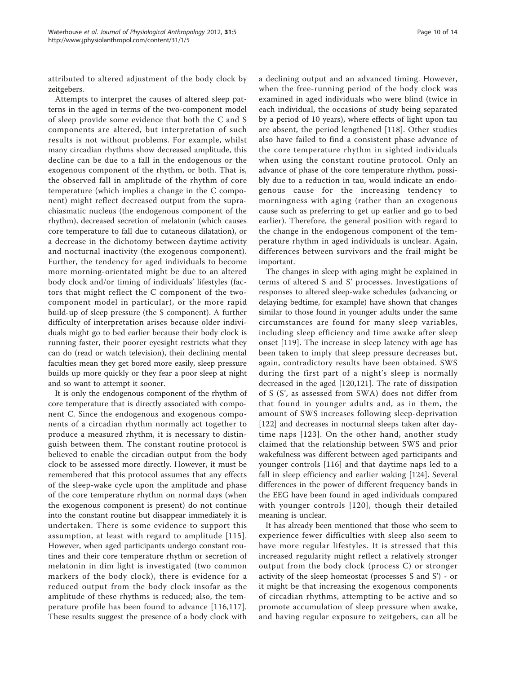attributed to altered adjustment of the body clock by zeitgebers.

Attempts to interpret the causes of altered sleep patterns in the aged in terms of the two-component model of sleep provide some evidence that both the C and S components are altered, but interpretation of such results is not without problems. For example, whilst many circadian rhythms show decreased amplitude, this decline can be due to a fall in the endogenous or the exogenous component of the rhythm, or both. That is, the observed fall in amplitude of the rhythm of core temperature (which implies a change in the C component) might reflect decreased output from the suprachiasmatic nucleus (the endogenous component of the rhythm), decreased secretion of melatonin (which causes core temperature to fall due to cutaneous dilatation), or a decrease in the dichotomy between daytime activity and nocturnal inactivity (the exogenous component). Further, the tendency for aged individuals to become more morning-orientated might be due to an altered body clock and/or timing of individuals' lifestyles (factors that might reflect the C component of the twocomponent model in particular), or the more rapid build-up of sleep pressure (the S component). A further difficulty of interpretation arises because older individuals might go to bed earlier because their body clock is running faster, their poorer eyesight restricts what they can do (read or watch television), their declining mental faculties mean they get bored more easily, sleep pressure builds up more quickly or they fear a poor sleep at night and so want to attempt it sooner.

It is only the endogenous component of the rhythm of core temperature that is directly associated with component C. Since the endogenous and exogenous components of a circadian rhythm normally act together to produce a measured rhythm, it is necessary to distinguish between them. The constant routine protocol is believed to enable the circadian output from the body clock to be assessed more directly. However, it must be remembered that this protocol assumes that any effects of the sleep-wake cycle upon the amplitude and phase of the core temperature rhythm on normal days (when the exogenous component is present) do not continue into the constant routine but disappear immediately it is undertaken. There is some evidence to support this assumption, at least with regard to amplitude [[115\]](#page-12-0). However, when aged participants undergo constant routines and their core temperature rhythm or secretion of melatonin in dim light is investigated (two common markers of the body clock), there is evidence for a reduced output from the body clock insofar as the amplitude of these rhythms is reduced; also, the temperature profile has been found to advance [[116](#page-13-0),[117\]](#page-13-0). These results suggest the presence of a body clock with a declining output and an advanced timing. However, when the free-running period of the body clock was examined in aged individuals who were blind (twice in each individual, the occasions of study being separated by a period of 10 years), where effects of light upon tau are absent, the period lengthened [[118](#page-13-0)]. Other studies also have failed to find a consistent phase advance of the core temperature rhythm in sighted individuals when using the constant routine protocol. Only an advance of phase of the core temperature rhythm, possibly due to a reduction in tau, would indicate an endogenous cause for the increasing tendency to morningness with aging (rather than an exogenous cause such as preferring to get up earlier and go to bed earlier). Therefore, the general position with regard to the change in the endogenous component of the temperature rhythm in aged individuals is unclear. Again, differences between survivors and the frail might be important.

The changes in sleep with aging might be explained in terms of altered S and S' processes. Investigations of responses to altered sleep-wake schedules (advancing or delaying bedtime, for example) have shown that changes similar to those found in younger adults under the same circumstances are found for many sleep variables, including sleep efficiency and time awake after sleep onset [[119](#page-13-0)]. The increase in sleep latency with age has been taken to imply that sleep pressure decreases but, again, contradictory results have been obtained. SWS during the first part of a night's sleep is normally decreased in the aged [\[120](#page-13-0),[121](#page-13-0)]. The rate of dissipation of S (S', as assessed from SWA) does not differ from that found in younger adults and, as in them, the amount of SWS increases following sleep-deprivation [[122\]](#page-13-0) and decreases in nocturnal sleeps taken after daytime naps [[123](#page-13-0)]. On the other hand, another study claimed that the relationship between SWS and prior wakefulness was different between aged participants and younger controls [\[116](#page-13-0)] and that daytime naps led to a fall in sleep efficiency and earlier waking [[124](#page-13-0)]. Several differences in the power of different frequency bands in the EEG have been found in aged individuals compared with younger controls [[120\]](#page-13-0), though their detailed meaning is unclear.

It has already been mentioned that those who seem to experience fewer difficulties with sleep also seem to have more regular lifestyles. It is stressed that this increased regularity might reflect a relatively stronger output from the body clock (process C) or stronger activity of the sleep homeostat (processes S and S') - or it might be that increasing the exogenous components of circadian rhythms, attempting to be active and so promote accumulation of sleep pressure when awake, and having regular exposure to zeitgebers, can all be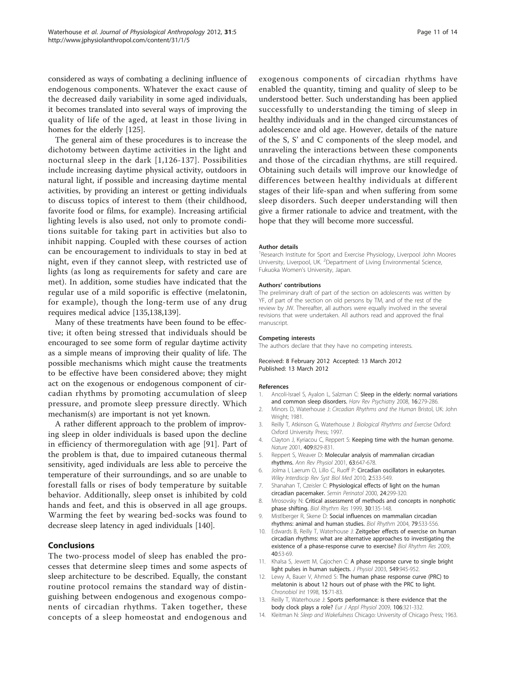<span id="page-10-0"></span>considered as ways of combating a declining influence of endogenous components. Whatever the exact cause of the decreased daily variability in some aged individuals, it becomes translated into several ways of improving the quality of life of the aged, at least in those living in homes for the elderly [[125\]](#page-13-0).

The general aim of these procedures is to increase the dichotomy between daytime activities in the light and nocturnal sleep in the dark [1[,126](#page-13-0)-[137](#page-13-0)]. Possibilities include increasing daytime physical activity, outdoors in natural light, if possible and increasing daytime mental activities, by providing an interest or getting individuals to discuss topics of interest to them (their childhood, favorite food or films, for example). Increasing artificial lighting levels is also used, not only to promote conditions suitable for taking part in activities but also to inhibit napping. Coupled with these courses of action can be encouragement to individuals to stay in bed at night, even if they cannot sleep, with restricted use of lights (as long as requirements for safety and care are met). In addition, some studies have indicated that the regular use of a mild soporific is effective (melatonin, for example), though the long-term use of any drug requires medical advice [\[135,138,139](#page-13-0)].

Many of these treatments have been found to be effective; it often being stressed that individuals should be encouraged to see some form of regular daytime activity as a simple means of improving their quality of life. The possible mechanisms which might cause the treatments to be effective have been considered above; they might act on the exogenous or endogenous component of circadian rhythms by promoting accumulation of sleep pressure, and promote sleep pressure directly. Which mechanism(s) are important is not yet known.

A rather different approach to the problem of improving sleep in older individuals is based upon the decline in efficiency of thermoregulation with age [[91\]](#page-12-0). Part of the problem is that, due to impaired cutaneous thermal sensitivity, aged individuals are less able to perceive the temperature of their surroundings, and so are unable to forestall falls or rises of body temperature by suitable behavior. Additionally, sleep onset is inhibited by cold hands and feet, and this is observed in all age groups. Warming the feet by wearing bed-socks was found to decrease sleep latency in aged individuals [\[140\]](#page-13-0).

The two-process model of sleep has enabled the processes that determine sleep times and some aspects of sleep architecture to be described. Equally, the constant routine protocol remains the standard way of distinguishing between endogenous and exogenous components of circadian rhythms. Taken together, these concepts of a sleep homeostat and endogenous and

exogenous components of circadian rhythms have enabled the quantity, timing and quality of sleep to be understood better. Such understanding has been applied successfully to understanding the timing of sleep in healthy individuals and in the changed circumstances of adolescence and old age. However, details of the nature of the S, S' and C components of the sleep model, and unraveling the interactions between these components and those of the circadian rhythms, are still required. Obtaining such details will improve our knowledge of differences between healthy individuals at different stages of their life-span and when suffering from some sleep disorders. Such deeper understanding will then give a firmer rationale to advice and treatment, with the hope that they will become more successful.

#### Author details

<sup>1</sup>Research Institute for Sport and Exercise Physiology, Liverpool John Moores University, Liverpool, UK. <sup>2</sup>Department of Living Environmental Science, Fukuoka Women's University, Japan.

#### Authors' contributions

The preliminary draft of part of the section on adolescents was written by YF, of part of the section on old persons by TM, and of the rest of the review by JW. Thereafter, all authors were equally involved in the several revisions that were undertaken. All authors read and approved the final manuscript.

#### Competing interests

The authors declare that they have no competing interests.

#### Received: 8 February 2012 Accepted: 13 March 2012 Published: 13 March 2012

#### References

- Ancoli-Israel S, Ayalon L, Salzman C: [Sleep in the elderly: normal variations](http://www.ncbi.nlm.nih.gov/pubmed/18803103?dopt=Abstract) [and common sleep disorders.](http://www.ncbi.nlm.nih.gov/pubmed/18803103?dopt=Abstract) Harv Rev Psychiatry 2008, 16:279-286.
- 2. Minors D, Waterhouse J: Circadian Rhythms and the Human Bristol, UK: John Wright; 1981.
- 3. Reilly T, Atkinson G, Waterhouse J: Biological Rhythms and Exercise Oxford: Oxford University Press; 1997.
- 4. Clayton J, Kyriacou C, Reppert S: [Keeping time with the human genome.](http://www.ncbi.nlm.nih.gov/pubmed/11237000?dopt=Abstract) Nature 2001, 409:829-831.
- 5. Reppert S, Weaver D: Molecular analysis of mammalian circadian rhythms. Ann Rev Physiol 2001, 63:647-678.
- 6. Jolma I, Laerum O, Lillo C, Ruoff P: [Circadian oscillators in eukaryotes.](http://www.ncbi.nlm.nih.gov/pubmed/20836046?dopt=Abstract) Wiley Interdiscip Rev Syst Biol Med 2010, 2:533-549.
- 7. Shanahan T, Czeisler C: [Physiological effects of light on the human](http://www.ncbi.nlm.nih.gov/pubmed/10975436?dopt=Abstract) [circadian pacemaker.](http://www.ncbi.nlm.nih.gov/pubmed/10975436?dopt=Abstract) Semin Perinatol 2000, 24:299-320.
- 8. Mrosovsky N: Critical assessment of methods and concepts in nonphotic phase shifting. Biol Rhythm Res 1999, 30:135-148.
- 9. Mistlberger R, Skene D: Social influences on mammalian circadian rhythms: animal and human studies. Biol Rhythm 2004, 79:533-556.
- 10. Edwards B, Reilly T, Waterhouse J: Zeitgeber effects of exercise on human circadian rhythms: what are alternative approaches to investigating the existence of a phase-response curve to exercise? Biol Rhythm Res 2009, 40:53-69.
- 11. Khalsa S, Jewett M, Cajochen C: [A phase response curve to single bright](http://www.ncbi.nlm.nih.gov/pubmed/12717008?dopt=Abstract) [light pulses in human subjects.](http://www.ncbi.nlm.nih.gov/pubmed/12717008?dopt=Abstract) J Physiol 2003, 549:945-952.
- 12. Lewy A, Bauer V, Ahmed S: [The human phase response curve \(PRC\) to](http://www.ncbi.nlm.nih.gov/pubmed/9493716?dopt=Abstract) [melatonin is about 12 hours out of phase with the PRC to light.](http://www.ncbi.nlm.nih.gov/pubmed/9493716?dopt=Abstract) Chronobiol Int 1998, 15:71-83.
- 13. Reilly T, Waterhouse J: [Sports performance: is there evidence that the](http://www.ncbi.nlm.nih.gov/pubmed/19418063?dopt=Abstract) [body clock plays a role?](http://www.ncbi.nlm.nih.gov/pubmed/19418063?dopt=Abstract) Eur J Appl Physiol 2009, 106:321-332.
- 14. Kleitman N: Sleep and Wakefulness Chicago: University of Chicago Press; 1963.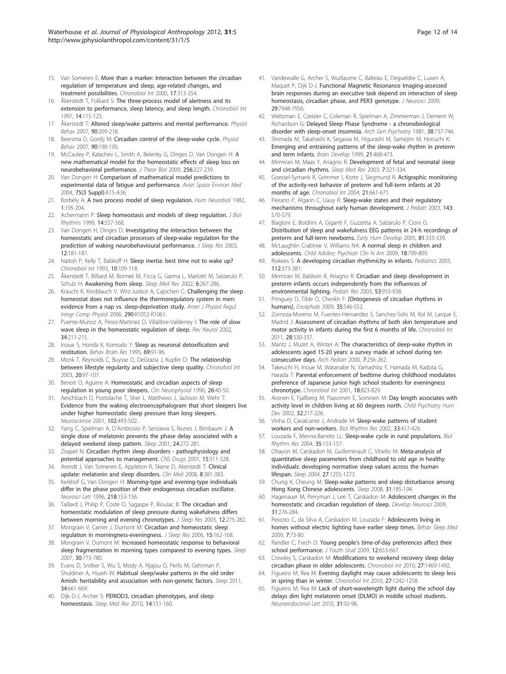- <span id="page-11-0"></span>15. Van Someren E: [More than a marker: Interaction between the circadian](http://www.ncbi.nlm.nih.gov/pubmed/10841209?dopt=Abstract) [regulation of temperature and sleep, age-related changes, and](http://www.ncbi.nlm.nih.gov/pubmed/10841209?dopt=Abstract) [treatment possibilities.](http://www.ncbi.nlm.nih.gov/pubmed/10841209?dopt=Abstract) Chronobiol Int 2000, 17:313-354.
- 16. Åkerstedt T, Folkard S: [The three-process model of alertness and its](http://www.ncbi.nlm.nih.gov/pubmed/9095372?dopt=Abstract) [extension to performance, sleep latency, and sleep length.](http://www.ncbi.nlm.nih.gov/pubmed/9095372?dopt=Abstract) Chronobiol Int 1997, 14:115-123.
- 17. Åkerstedt T: [Altered sleep/wake patterns and mental performance.](http://www.ncbi.nlm.nih.gov/pubmed/17049569?dopt=Abstract) Physiol Behav 2007, 90:209-218.
- 18. Beersma D, Gordij M: [Circadian control of the sleep-wake cycle.](http://www.ncbi.nlm.nih.gov/pubmed/17055008?dopt=Abstract) Physiol Behav 2007, 90:190-195.
- 19. McCauley P, Kalachev L, Smith A, Belenky G, Dinges D, Van Dongen H: [A](http://www.ncbi.nlm.nih.gov/pubmed/18938181?dopt=Abstract) [new mathematical model for the homeostatic effects of sleep loss on](http://www.ncbi.nlm.nih.gov/pubmed/18938181?dopt=Abstract) [neurobehavioral performance.](http://www.ncbi.nlm.nih.gov/pubmed/18938181?dopt=Abstract) J Theor Biol 2009, 256:227-239.
- 20. Van Dongen H: [Comparison of mathematical model predictions to](http://www.ncbi.nlm.nih.gov/pubmed/15018263?dopt=Abstract) [experimental data of fatigue and performance.](http://www.ncbi.nlm.nih.gov/pubmed/15018263?dopt=Abstract) Aviat Space Environ Med 2004, 75(3 Suppl):A15-A36.
- 21. Borbély A: [A two process model of sleep regulation.](http://www.ncbi.nlm.nih.gov/pubmed/7185792?dopt=Abstract) Hum Neurobiol 1982, 1:195-204.
- 22. Achermann P: [Sleep homeostasis and models of sleep regulation.](http://www.ncbi.nlm.nih.gov/pubmed/10643753?dopt=Abstract) J Biol Rhythms 1999, 14:557-568.
- 23. Van Dongen H, Dinges D: [Investigating the interaction between the](http://www.ncbi.nlm.nih.gov/pubmed/12941057?dopt=Abstract) [homeostatic and circadian processes of sleep-wake regulation for the](http://www.ncbi.nlm.nih.gov/pubmed/12941057?dopt=Abstract) [prediction of waking neurobehavioural performance.](http://www.ncbi.nlm.nih.gov/pubmed/12941057?dopt=Abstract) J Sleep Res 2003, 12:181-187.
- 24. Naitoh P, Kelly T, Babkoff H: [Sleep inertia: best time not to wake up?](http://www.ncbi.nlm.nih.gov/pubmed/8500187?dopt=Abstract) Chronobiol Int 1993, 10:109-118.
- 25. Åkerstedt T, Billiard M, Bonnet M, Ficca G, Garma L, Mariotti M, Salzarulo P, Schulz H: [Awakening from sleep.](http://www.ncbi.nlm.nih.gov/pubmed/12531132?dopt=Abstract) Sleep Med Rev 2002, 6:267-286.
- 26. Krauchi K, Knoblauch V, Wirz-Justice A, Cajochen C: Challenging the sleep homeostat does not influence the thermoregulatory system in men: evidence from a nap vs. sleep-deprivation study. Amer J Physiol Regul Integr Comp Physiol 2006, 290:R1052-R1061.
- 27. Puente-Munoz A, Perez-Martinez D, Villalibre-Valderrey I: [The role of slow](http://www.ncbi.nlm.nih.gov/pubmed/12022067?dopt=Abstract) [wave sleep in the homeostatic regulation of sleep.](http://www.ncbi.nlm.nih.gov/pubmed/12022067?dopt=Abstract) Rev Neurol 2002, 34:211-215.
- 28. Inoue S, Honda K, Komodo Y: [Sleep as neuronal detoxification and](http://www.ncbi.nlm.nih.gov/pubmed/7546322?dopt=Abstract) [restitution.](http://www.ncbi.nlm.nih.gov/pubmed/7546322?dopt=Abstract) Behav Brain Res 1995, 69:91-96.
- 29. Monk T, Reynolds C, Buysse D, DeGrazia J, Kupfer D: [The relationship](http://www.ncbi.nlm.nih.gov/pubmed/12638693?dopt=Abstract) [between lifestyle regularity and subjective sleep quality.](http://www.ncbi.nlm.nih.gov/pubmed/12638693?dopt=Abstract) Chronobiol Int 2003, 20:97-107.
- 30. Benoit O, Aguirre A: Homeostatic and circadian aspects of sleep regulation in young poor sleepers. Clin Neurophysiol 1996, 26:40-50.
- 31. Aeschbach D, Postolache T, Sher L, Matthews J, Jackson M, Wehr T: [Evidence from the waking electroencephalogram that short sleepers live](http://www.ncbi.nlm.nih.gov/pubmed/11226688?dopt=Abstract) [under higher homeostatic sleep pressure than long sleepers.](http://www.ncbi.nlm.nih.gov/pubmed/11226688?dopt=Abstract) Neuroscience 2001, 102:493-502.
- 32. Yang C, Spielman A, D'Ambrosio P, Serizawa S, Nunes J, Birnbaum J: [A](http://www.ncbi.nlm.nih.gov/pubmed/11322709?dopt=Abstract) [single dose of melatonin prevents the phase delay associated with a](http://www.ncbi.nlm.nih.gov/pubmed/11322709?dopt=Abstract) [delayed weekend sleep pattern.](http://www.ncbi.nlm.nih.gov/pubmed/11322709?dopt=Abstract) Sleep 2001, 24:272-281.
- 33. Zisapel N: [Circadian rhythm sleep disorders pathophysiology and](http://www.ncbi.nlm.nih.gov/pubmed/11463135?dopt=Abstract) [potential approaches to management.](http://www.ncbi.nlm.nih.gov/pubmed/11463135?dopt=Abstract) CNS Drugs 2001, 15:311-328.
- 34. Arendt J, Van Someren E, Appleton R, Skene D, Akerstedt T: [Clinical](http://www.ncbi.nlm.nih.gov/pubmed/18724603?dopt=Abstract) [update: melatonin and sleep disorders.](http://www.ncbi.nlm.nih.gov/pubmed/18724603?dopt=Abstract) Clin Med 2008, 8:381-383.
- 35. Kerkhof G, Van Dongen H: [Morning-type and evening-type individuals](http://www.ncbi.nlm.nih.gov/pubmed/8945751?dopt=Abstract) [differ in the phase position of their endogenous circadian oscillator.](http://www.ncbi.nlm.nih.gov/pubmed/8945751?dopt=Abstract) Neurosci Lett 1996, 218:153-156.
- 36. Taillard J, Philip P, Coste O, Sagaspe P, Bioulac B: [The circadian and](http://www.ncbi.nlm.nih.gov/pubmed/14633238?dopt=Abstract) [homeostatic modulation of sleep pressure during wakefulness differs](http://www.ncbi.nlm.nih.gov/pubmed/14633238?dopt=Abstract) [between morning and evening chronotypes.](http://www.ncbi.nlm.nih.gov/pubmed/14633238?dopt=Abstract) J Sleep Res 2003, 12:275-282.
- 37. Mongrain V, Carrier J, Dumont M: [Circadian and homeostatic sleep](http://www.ncbi.nlm.nih.gov/pubmed/16704571?dopt=Abstract) [regulation in morningness-eveningness.](http://www.ncbi.nlm.nih.gov/pubmed/16704571?dopt=Abstract) J Sleep Res 2006, 15:162-168.
- 38. Mongrain V, Dumont M: [Increased homeostatic response to behavioral](http://www.ncbi.nlm.nih.gov/pubmed/17580599?dopt=Abstract) [sleep fragmentation in morning types compared to evening types.](http://www.ncbi.nlm.nih.gov/pubmed/17580599?dopt=Abstract) Sleep 2007, 30:773-780.
- 39. Evans D, Snitker S, Wu S, Mody A, Njajou O, Perlis M, Gehrman P, Shuldiner A, Hsueh W: [Habitual sleep/wake patterns in the old order](http://www.ncbi.nlm.nih.gov/pubmed/21532960?dopt=Abstract) [Amish: heritability and association with non-genetic factors.](http://www.ncbi.nlm.nih.gov/pubmed/21532960?dopt=Abstract) Sleep 2011, 34:661-669.
- 40. Dijk D-J, Archer S: [PERIOD3, circadian phenotypes, and sleep](http://www.ncbi.nlm.nih.gov/pubmed/19716732?dopt=Abstract) [homeostasis.](http://www.ncbi.nlm.nih.gov/pubmed/19716732?dopt=Abstract) Sleep Med Rev 2010, 14:151-160.
- 41. Vandewalle G, Archer S, Wuillaume C, Balteau E, Degueldre C, Luxen A, Maquet P, Dijk D-J: [Functional Magnetic Resonance Imaging-assessed](http://www.ncbi.nlm.nih.gov/pubmed/19553435?dopt=Abstract) [brain responses during an executive task depend on interaction of sleep](http://www.ncbi.nlm.nih.gov/pubmed/19553435?dopt=Abstract) [homeostasis, circadian phase, and PER3 genotype.](http://www.ncbi.nlm.nih.gov/pubmed/19553435?dopt=Abstract) J Neurosci 2009, 29:7948-7956.
- 42. Weitzman E, Czeisler C, Coleman R, Spielman A, Zimmerman J, Dement W, Richardson G: [Delayed Sleep Phase Syndrome - a chronobiological](http://www.ncbi.nlm.nih.gov/pubmed/7247637?dopt=Abstract) [disorder with sleep-onset insomnia.](http://www.ncbi.nlm.nih.gov/pubmed/7247637?dopt=Abstract) Arch Gen Psychiatry 1981, 38:737-746.
- 43. Shimada M, Takahashi K, Segawa M, Higurashi M, Samejim M, Horiuchi K: Emerging and entraining patterns of the sleep-wake rhythm in preterm and term infants. Brain Develop 1999, 21:468-473.
- 44. Mirmiran M, Maas Y, Ariagno R: [Development of fetal and neonatal sleep](http://www.ncbi.nlm.nih.gov/pubmed/14505599?dopt=Abstract) [and circadian rhythms.](http://www.ncbi.nlm.nih.gov/pubmed/14505599?dopt=Abstract) Sleep Med Rev 2003, 7:321-334.
- 45. Goessel-Symank R, Grimmer I, Korte J, Siegmund R: [Actigraphic monitoring](http://www.ncbi.nlm.nih.gov/pubmed/15470961?dopt=Abstract) [of the activity-rest behavior of preterm and full-term infants at 20](http://www.ncbi.nlm.nih.gov/pubmed/15470961?dopt=Abstract) [months of age.](http://www.ncbi.nlm.nih.gov/pubmed/15470961?dopt=Abstract) Chronobiol Int 2004, 21:661-671.
- 46. Peirano P, Algarin C, Uauy R: [Sleep-wake states and their regulatory](http://www.ncbi.nlm.nih.gov/pubmed/14597916?dopt=Abstract) [mechanisms throughout early human development.](http://www.ncbi.nlm.nih.gov/pubmed/14597916?dopt=Abstract) J Pediatr 2003, 143: S70-S79.
- 47. Biagioni E, Boldrini A, Giganti F, Guzzetta A, Salzarulo P, Cioni G: Distribution of sleep and wakefulness EEG patterns in 24-h recordings of preterm and full-term newborns. Early Hum Develop 2005, 81:333-339.
- 48. McLaughlin Crabtree V, Williams NA: [A normal sleep in children and](http://www.ncbi.nlm.nih.gov/pubmed/19836688?dopt=Abstract) [adolescents.](http://www.ncbi.nlm.nih.gov/pubmed/19836688?dopt=Abstract) Child Adolesc Psychiatr Clin N Am 2009, 18:799-809.
- 49. Rivkees S: [A developing circadian rhythmicity in infants.](http://www.ncbi.nlm.nih.gov/pubmed/12897290?dopt=Abstract) Pediatrics 2003, 112:373-381.
- 50. Mirmiran M, Baldwin R, Ariagno R: [Circadian and sleep development in](http://www.ncbi.nlm.nih.gov/pubmed/12621096?dopt=Abstract) [preterm infants occurs independently from the influences of](http://www.ncbi.nlm.nih.gov/pubmed/12621096?dopt=Abstract) [environmental lighting.](http://www.ncbi.nlm.nih.gov/pubmed/12621096?dopt=Abstract) Pediatr Res 2003, 53:933-938.
- 51. Pringuey D, Tible O, Cherikh F: [\[Ontogenesis of circadian rhythms in](http://www.ncbi.nlm.nih.gov/pubmed/19268170?dopt=Abstract) [humans\].](http://www.ncbi.nlm.nih.gov/pubmed/19268170?dopt=Abstract) Encephale 2009, 35:S46-S52.
- 52. Zornoza-Moreno M, Fuentes-Hernandez S, Sanchez-Solis M, Rol M, Larque E, Madrid J: [Assessment of circadian rhythms of both skin temperature and](http://www.ncbi.nlm.nih.gov/pubmed/21539424?dopt=Abstract) [motor activity in infants during the first 6 months of life.](http://www.ncbi.nlm.nih.gov/pubmed/21539424?dopt=Abstract) Chronobiol Int 2011, 28:330-337.
- 53. Mantz J, Muzet A, Winter A: [The characteristics of sleep-wake rhythm in](http://www.ncbi.nlm.nih.gov/pubmed/10761601?dopt=Abstract) [adolescents aged 15-20 years: a survey made at school during ten](http://www.ncbi.nlm.nih.gov/pubmed/10761601?dopt=Abstract) [consecutive days.](http://www.ncbi.nlm.nih.gov/pubmed/10761601?dopt=Abstract) Arch Pediatr 2000, 7:256-262.
- 54. Takeuchi H, Inoue M, Watanabe N, Yamashita Y, Hamada M, Kadota G, Harada T: [Parental enforcement of bedtime during childhood modulates](http://www.ncbi.nlm.nih.gov/pubmed/11763989?dopt=Abstract) [preference of Japanese junior high school students for eveningness](http://www.ncbi.nlm.nih.gov/pubmed/11763989?dopt=Abstract) [chronotype.](http://www.ncbi.nlm.nih.gov/pubmed/11763989?dopt=Abstract) Chronobiol Int 2001, 18:823-829.
- 55. Aronen E, Fjallberg M, Paavonen E, Soininen M: [Day length associates with](http://www.ncbi.nlm.nih.gov/pubmed/11893171?dopt=Abstract) [activity level in children living at 60 degrees north.](http://www.ncbi.nlm.nih.gov/pubmed/11893171?dopt=Abstract) Child Psychiatry Hum Dev 2002, 32:217-226.
- 56. Vinha D, Cavalcante J, Andrade M: Sleep-wake patterns of student workers and non-workers. Biol Rhythm Res 2002, 33:417-426.
- 57. Louzada F, Menna-Barreto LL: Sleep-wake cycle in rural populations. Biol Rhythm Res 2004, 35:153-157.
- 58. Ohayon M, Carskadon M, Guilleminault C, Vitiello M: [Meta-analysis of](http://www.ncbi.nlm.nih.gov/pubmed/15586779?dopt=Abstract) [quantitative sleep parameters from childhood to old age in healthy](http://www.ncbi.nlm.nih.gov/pubmed/15586779?dopt=Abstract) [individuals: developing normative sleep values across the human](http://www.ncbi.nlm.nih.gov/pubmed/15586779?dopt=Abstract) [lifespan.](http://www.ncbi.nlm.nih.gov/pubmed/15586779?dopt=Abstract) Sleep 2004, 27:1255-1273.
- 59. Chung K, Cheung M: [Sleep-wake patterns and sleep disturbance among](http://www.ncbi.nlm.nih.gov/pubmed/18274265?dopt=Abstract) [Hong Kong Chinese adolescents.](http://www.ncbi.nlm.nih.gov/pubmed/18274265?dopt=Abstract) Sleep 2008, 31:185-194.
- 60. Hagenauer M, Perryman J, Lee T, Carskadon M: Adolescent changes in the homeostatic and circadian regulation of sleep. Develop Neurosci 2009, 31:276-284.
- 61. Peixoto C, da Silva A, Carskadon M, Louzada F: [Adolescents living in](http://www.ncbi.nlm.nih.gov/pubmed/19330580?dopt=Abstract) [homes without electric lighting have earlier sleep times.](http://www.ncbi.nlm.nih.gov/pubmed/19330580?dopt=Abstract) Behav Sleep Med 2009, 7:73-80.
- 62. Randler C, Frech D: Young people's time-of-day preferences affect their school performance. J Youth Stud 2009, 12:653-667.
- 63. Crowley S, Carskadon M: [Modifications to weekend recovery sleep delay](http://www.ncbi.nlm.nih.gov/pubmed/20795887?dopt=Abstract) [circadian phase in older adolescents.](http://www.ncbi.nlm.nih.gov/pubmed/20795887?dopt=Abstract) Chronobiol Int 2010, 27:1469-1492.
- 64. Figueiro M, Rea M: [Evening daylight may cause adolescents to sleep less](http://www.ncbi.nlm.nih.gov/pubmed/20653452?dopt=Abstract) [in spring than in winter.](http://www.ncbi.nlm.nih.gov/pubmed/20653452?dopt=Abstract) Chronobiol Int 2010, 27:1242-1258.
- 65. Figueiro M, Rea M: [Lack of short-wavelength light during the school day](http://www.ncbi.nlm.nih.gov/pubmed/20150866?dopt=Abstract) [delays dim light melatonin onset \(DLMO\) in middle school students.](http://www.ncbi.nlm.nih.gov/pubmed/20150866?dopt=Abstract) Neuroendocrinol Lett 2010, 31:92-96.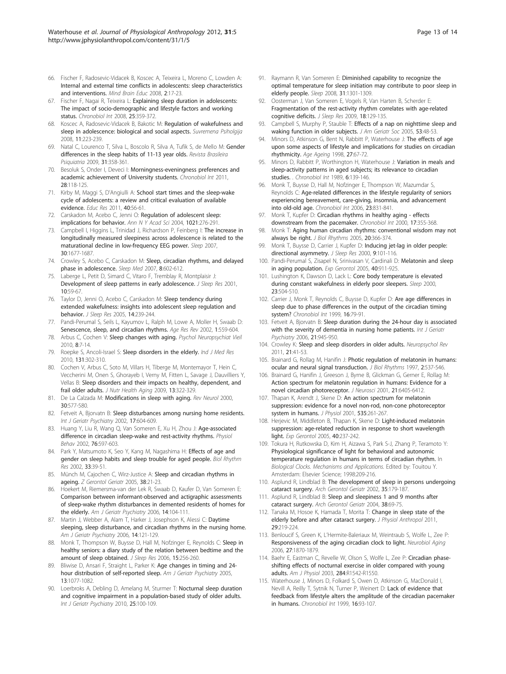- <span id="page-12-0"></span>66. Fischer F, Radosevic-Vidacek B, Koscec A, Teixeira L, Moreno C, Lowden A: Internal and external time conflicts in adolescents: sleep characteristics and interventions. Mind Brain Educ 2008, 2:17-23.
- 67. Fischer F, Nagai R, Teixeira L: [Explaining sleep duration in adolescents:](http://www.ncbi.nlm.nih.gov/pubmed/18533330?dopt=Abstract) [The impact of socio-demographic and lifestyle factors and working](http://www.ncbi.nlm.nih.gov/pubmed/18533330?dopt=Abstract) [status.](http://www.ncbi.nlm.nih.gov/pubmed/18533330?dopt=Abstract) Chronobiol Int 2008, 25:359-372.
- 68. Koscec A, Radosevic-Vidacek B, Bakotic M: Regulation of wakefulness and sleep in adolescence: biological and social aspects. Suvremena Psiholgija 2008, 11:223-239.
- 69. Natal C, Lourenco T, Silva L, Boscolo R, Silva A, Tufik S, de Mello M: Gender differences in the sleep habits of 11-13 year olds. Revista Brasileira Psiquiatria 2009, 31:358-361.
- 70. Besoluk S, Onder I, Deveci I: [Morningness-eveningness preferences and](http://www.ncbi.nlm.nih.gov/pubmed/21231873?dopt=Abstract) [academic achievement of University students.](http://www.ncbi.nlm.nih.gov/pubmed/21231873?dopt=Abstract) Chronobiol Int 2011, 28:118-125.
- 71. Kirby M, Maggi S, D'Angiulli A: School start times and the sleep-wake cycle of adolescents: a review and critical evaluation of available evidence. Educ Res 2011, 40:56-61.
- 72. Carskadon M, Acebo C, Jenni O: [Regulation of adolescent sleep:](http://www.ncbi.nlm.nih.gov/pubmed/15251897?dopt=Abstract) [implications for behavior.](http://www.ncbi.nlm.nih.gov/pubmed/15251897?dopt=Abstract) Ann N Y Acad Sci 2004, 1021:276-291.
- 73. Campbell I, Higgins L, Trinidad J, Richardson P, Feinberg I: [The increase in](http://www.ncbi.nlm.nih.gov/pubmed/18246977?dopt=Abstract) [longitudinally measured sleepiness across adolescence is related to the](http://www.ncbi.nlm.nih.gov/pubmed/18246977?dopt=Abstract) [maturational decline in low-frequency EEG power.](http://www.ncbi.nlm.nih.gov/pubmed/18246977?dopt=Abstract) Sleep 2007, 30:1677-1687.
- 74. Crowley S, Acebo C, Carskadon M: [Sleep, circadian rhythms, and delayed](http://www.ncbi.nlm.nih.gov/pubmed/17383934?dopt=Abstract) [phase in adolescence.](http://www.ncbi.nlm.nih.gov/pubmed/17383934?dopt=Abstract) Sleep Med 2007, 8:602-612.
- 75. Laberge L, Petit D, Simard C, Vitaro F, Tremblay R, Montplaisir J: [Development of sleep patterns in early adolescence.](http://www.ncbi.nlm.nih.gov/pubmed/11285056?dopt=Abstract) J Sleep Res 2001, 10:59-67.
- 76. Taylor D, Jenni O, Acebo C, Carskadon M: [Sleep tendency during](http://www.ncbi.nlm.nih.gov/pubmed/16120098?dopt=Abstract) [extended wakefulness: insights into adolescent sleep regulation and](http://www.ncbi.nlm.nih.gov/pubmed/16120098?dopt=Abstract) [behavior.](http://www.ncbi.nlm.nih.gov/pubmed/16120098?dopt=Abstract) *J Sleep Res* 2005, 14:239-244.
- 77. Pandi-Perumal S, Seils L, Kayumov L, Ralph M, Lowe A, Moller H, Swaab D: Senescence, sleep, and circadian rhythms. Age Res Rev 2002, 1:559-604.
- 78. Arbus C, Cochen V: Sleep changes with aging. Psychol Neuropsychiat Vieil 2010, 8:7-14.
- 79. Roepke S, Ancoli-Israel S: Sleep disorders in the elderly. Ind J Med Res 2010, 131:302-310.
- 80. Cochen V, Arbus C, Soto M, Villars H, Tiberge M, Montemayor T, Hein C, Veccherini M, Onen S, Ghorayeb I, Verny M, Fitten L, Savage J, Dauvilliers Y, Vellas B: Sleep [disorders and their impacts on healthy, dependent, and](http://www.ncbi.nlm.nih.gov/pubmed/19300867?dopt=Abstract) [frail older adults.](http://www.ncbi.nlm.nih.gov/pubmed/19300867?dopt=Abstract) J Nutr Health Aging 2009, 13:322-329.
- 81. De La Calzada M: [Modifications in sleep with aging.](http://www.ncbi.nlm.nih.gov/pubmed/10863732?dopt=Abstract) Rev Neurol 2000, 30:577-580.
- 82. Fetveit A, Bjorvatn B: [Sleep disturbances among nursing home residents.](http://www.ncbi.nlm.nih.gov/pubmed/12112156?dopt=Abstract) Int J Geriatr Psychiatry 2002, 17:604-609.
- 83. Huang Y, Liu R, Wang Q, Van Someren E, Xu H, Zhou J: [Age-associated](http://www.ncbi.nlm.nih.gov/pubmed/12126998?dopt=Abstract) [difference in circadian sleep-wake and rest-activity rhythms.](http://www.ncbi.nlm.nih.gov/pubmed/12126998?dopt=Abstract) Physiol Behav 2002, 76:597-603.
- 84. Park Y, Matsumoto K, Seo Y, Kang M, Nagashima H: Effects of age and gender on sleep habits and sleep trouble for aged people. Biol Rhythm Res 2002, 33:39-51.
- 85. Münch M, Cajochen C, Wirz-Justice A: Sleep and circadian rhythms in ageing. 7 Gerontol Geriatr 2005, 38:21-23.
- 86. Hoekert M, Riemersma-van der Lek R, Swaab D, Kaufer D, Van Someren E: [Comparison between informant-observed and actigraphic assessments](http://www.ncbi.nlm.nih.gov/pubmed/16473974?dopt=Abstract) [of sleep-wake rhythm disturbances in demented residents of homes for](http://www.ncbi.nlm.nih.gov/pubmed/16473974?dopt=Abstract) [the elderly.](http://www.ncbi.nlm.nih.gov/pubmed/16473974?dopt=Abstract) Am J Geriatr Psychiatry 2006, 14:104-111.
- 87. Martin J, Webber A, Alam T, Harker J, Josephson K, Alessi C; [Daytime](http://www.ncbi.nlm.nih.gov/pubmed/16473976?dopt=Abstract) [sleeping, sleep disturbance, and circadian rhythms in the nursing home.](http://www.ncbi.nlm.nih.gov/pubmed/16473976?dopt=Abstract) Am J Geriatr Psychiatry 2006, 14:121-129.
- 88. Monk T, Thompson W, Buysse D, Hall M, Nofzinger E, Reynolds C: [Sleep in](http://www.ncbi.nlm.nih.gov/pubmed/16911027?dopt=Abstract) [healthy seniors: a diary study of the relation between bedtime and the](http://www.ncbi.nlm.nih.gov/pubmed/16911027?dopt=Abstract) [amount of sleep obtained.](http://www.ncbi.nlm.nih.gov/pubmed/16911027?dopt=Abstract) J Sleep Res 2006, 15:256-260.
- 89. Bliwise D, Ansari F, Straight L, Parker K: [Age changes in timing and 24](http://www.ncbi.nlm.nih.gov/pubmed/16319300?dopt=Abstract) [hour distribution of self-reported sleep.](http://www.ncbi.nlm.nih.gov/pubmed/16319300?dopt=Abstract) Am J Geriatr Psychiatry 2005, 13:1077-1082.
- 90. Loerbroks A, Debling D, Amelang M, Sturmer T: [Nocturnal sleep duration](http://www.ncbi.nlm.nih.gov/pubmed/19548221?dopt=Abstract) [and cognitive impairment in a population-based study of older adults.](http://www.ncbi.nlm.nih.gov/pubmed/19548221?dopt=Abstract) Int J Geriatr Psychiatry 2010, 25:100-109.
- 91. Raymann R, Van Someren E: [Diminished capability to recognize the](http://www.ncbi.nlm.nih.gov/pubmed/18788655?dopt=Abstract) [optimal temperature for sleep initiation may contribute to poor sleep in](http://www.ncbi.nlm.nih.gov/pubmed/18788655?dopt=Abstract) [elderly people.](http://www.ncbi.nlm.nih.gov/pubmed/18788655?dopt=Abstract) Sleep 2008, 31:1301-1309.
- 92. Oosterman J, Van Someren E, Vogels R, Van Harten B, Scherder E: [Fragmentation of the rest-activity rhythm correlates with age-related](http://www.ncbi.nlm.nih.gov/pubmed/19250179?dopt=Abstract) [cognitive deficits.](http://www.ncbi.nlm.nih.gov/pubmed/19250179?dopt=Abstract) J Sleep Res 2009, 18:129-135.
- 93. Campbell S, Murphy P, Stauble T: [Effects of a nap on nighttime sleep and](http://www.ncbi.nlm.nih.gov/pubmed/15667375?dopt=Abstract) [waking function in older subjects.](http://www.ncbi.nlm.nih.gov/pubmed/15667375?dopt=Abstract) J Am Geriatr Soc 2005, 53:48-53.
- Minors D, Atkinson G, Bent N, Rabbitt P, Waterhouse J: [The effects of age](http://www.ncbi.nlm.nih.gov/pubmed/9504369?dopt=Abstract) [upon some aspects of lifestyle and implications for studies on circadian](http://www.ncbi.nlm.nih.gov/pubmed/9504369?dopt=Abstract) [rhythmicity.](http://www.ncbi.nlm.nih.gov/pubmed/9504369?dopt=Abstract) Age Ageing 1998, 27:67-72.
- 95. Minors D, Rabbitt P, Worthington H, Waterhouse J: [Variation in meals and](http://www.ncbi.nlm.nih.gov/pubmed/2743466?dopt=Abstract) [sleep-activity patterns in aged subjects; its relevance to circadian](http://www.ncbi.nlm.nih.gov/pubmed/2743466?dopt=Abstract) [studies.](http://www.ncbi.nlm.nih.gov/pubmed/2743466?dopt=Abstract) . Chronobiol Int 1989, 6:139-146.
- 96. Monk T, Buysse D, Hall M, Nofzinger E, Thompson W, Mazumdar S, Reynolds C: [Age-related differences in the lifestyle regularity of seniors](http://www.ncbi.nlm.nih.gov/pubmed/16887751?dopt=Abstract) [experiencing bereavement, care-giving, insomnia, and advancement](http://www.ncbi.nlm.nih.gov/pubmed/16887751?dopt=Abstract) [into old-old age.](http://www.ncbi.nlm.nih.gov/pubmed/16887751?dopt=Abstract) Chronobiol Int 2006, 23:831-841.
- Monk T, Kupfer D: [Circadian rhythms in healthy aging effects](http://www.ncbi.nlm.nih.gov/pubmed/10841210?dopt=Abstract) [downstream from the pacemaker.](http://www.ncbi.nlm.nih.gov/pubmed/10841210?dopt=Abstract) Chronobiol Int 2000, 17:355-368.
- 98. Monk T: [Aging human circadian rhythms: conventional wisdom may not](http://www.ncbi.nlm.nih.gov/pubmed/16077155?dopt=Abstract) [always be right.](http://www.ncbi.nlm.nih.gov/pubmed/16077155?dopt=Abstract) J Biol Rhythms 2005, 20:366-374.
- 99. Monk T, Buysse D, Carrier J, Kupfer D: [Inducing jet-lag in older people:](http://www.ncbi.nlm.nih.gov/pubmed/10849237?dopt=Abstract) [directional asymmetry.](http://www.ncbi.nlm.nih.gov/pubmed/10849237?dopt=Abstract) J Sleep Res 2000, 9:101-116.
- 100. Pandi-Perumal S, Zisapel N, Sriniyasan V, Cardinali D; [Melatonin and sleep](http://www.ncbi.nlm.nih.gov/pubmed/16183237?dopt=Abstract) [in aging population.](http://www.ncbi.nlm.nih.gov/pubmed/16183237?dopt=Abstract) Exp Gerontol 2005, 40:911-925.
- 101. Lushington K, Dawson D, Lack L: [Core body temperature is elevated](http://www.ncbi.nlm.nih.gov/pubmed/10875557?dopt=Abstract) [during constant wakefulness in elderly poor sleepers.](http://www.ncbi.nlm.nih.gov/pubmed/10875557?dopt=Abstract) Sleep 2000, 23:504-510.
- 102. Carrier J, Monk T, Reynolds C, Buysse D, Kupfer D: [Are age differences in](http://www.ncbi.nlm.nih.gov/pubmed/10023578?dopt=Abstract) [sleep due to phase differences in the output of the circadian timing](http://www.ncbi.nlm.nih.gov/pubmed/10023578?dopt=Abstract) [system?](http://www.ncbi.nlm.nih.gov/pubmed/10023578?dopt=Abstract) Chronobiol Int 1999, 16:79-91.
- 103. Fetveit A, Bjorvatn B: [Sleep duration during the 24-hour day is associated](http://www.ncbi.nlm.nih.gov/pubmed/16927407?dopt=Abstract) [with the severity of dementia in nursing home patients.](http://www.ncbi.nlm.nih.gov/pubmed/16927407?dopt=Abstract) Int J Geriatr Psychiatry 2006, 21:945-950.
- 104. Crowley K: [Sleep and sleep disorders in older adults.](http://www.ncbi.nlm.nih.gov/pubmed/21225347?dopt=Abstract) Neuropsychol Rev 2011, 21:41-53.
- 105. Brainard G, Rollag M, Hanifin J: Photic regulation of melatonin in humans: ocular and neural signal transduction. J Biol Rhythms 1997, 2:537-546.
- 106. Brainard G, Hanifin J, Greeson J, Byrne B, Glickman G, Gerner E, Rollag M: [Action spectrum for melatonin regulation in humans: Evidence for a](http://www.ncbi.nlm.nih.gov/pubmed/11487664?dopt=Abstract) [novel circadian photoreceptor.](http://www.ncbi.nlm.nih.gov/pubmed/11487664?dopt=Abstract) J Neurosci 2001, 21:6405-6412.
- 107. Thapan K, Arendt J, Skene D: [An action spectrum for melatonin](http://www.ncbi.nlm.nih.gov/pubmed/11507175?dopt=Abstract) [suppression: evidence for a novel non-rod, non-cone photoreceptor](http://www.ncbi.nlm.nih.gov/pubmed/11507175?dopt=Abstract) [system in humans.](http://www.ncbi.nlm.nih.gov/pubmed/11507175?dopt=Abstract) J Physiol 2001, 535:261-267.
- 108. Herjevic M, Middleton B, Thapan K, Skene D: [Light-induced melatonin](http://www.ncbi.nlm.nih.gov/pubmed/15763401?dopt=Abstract) suppression: [age-related reduction in response to short wavelength](http://www.ncbi.nlm.nih.gov/pubmed/15763401?dopt=Abstract) [light.](http://www.ncbi.nlm.nih.gov/pubmed/15763401?dopt=Abstract) Exp Gerontol 2005, 40:237-242.
- 109. Tokura H, Rutkowska D, Kim H, Aizawa S, Park S-J, Zhang P, Teramoto Y: Physiological significance of light for behavioral and autonomic temperature regulation in humans in terms of circadian rhythm. In Biological Clocks. Mechanisms and Applications. Edited by: Touitou Y. Amsterdam: Elsevier Science; 1998:209-216.
- 110. Asplund R, Lindblad B: [The development of sleep in persons undergoing](http://www.ncbi.nlm.nih.gov/pubmed/14764356?dopt=Abstract) [cataract surgery.](http://www.ncbi.nlm.nih.gov/pubmed/14764356?dopt=Abstract) Arch Gerontol Geriatr 2002, 35:179-187.
- 111. Asplund R, Lindblad B: [Sleep and sleepiness 1 and 9 months after](http://www.ncbi.nlm.nih.gov/pubmed/14599706?dopt=Abstract) [cataract surgery.](http://www.ncbi.nlm.nih.gov/pubmed/14599706?dopt=Abstract) Arch Gerontol Geriatr 2004, 38:69-75.
- 112. Tanaka M, Hosoe K, Hamada T, Morita T: Change in sleep state of the elderly before and after cataract surgery. J Physiol Anthropol 2011, 29:219-224.
- 113. Benloucif S, Green K, L'Hermite-Baleriaux M, Weintraub S, Wolfe L, Zee P: [Responsiveness of the aging circadian clock to light.](http://www.ncbi.nlm.nih.gov/pubmed/16309797?dopt=Abstract) Neurobiol Aging 2006, 27:1870-1879.
- 114. Baehr E, Eastman C, Revelle W, Olson S, Wolfe L, Zee P: Circadian phaseshifting effects of nocturnal exercise in older compared with young adults. Am J Physiol 2003, 284:R1542-R1550.
- 115. Waterhouse J, Minors D, Folkard S, Owen D, Atkinson G, MacDonald I, Nevill A, Reilly T, Sytnik N, Turner P, Weinert D: [Lack of evidence that](http://www.ncbi.nlm.nih.gov/pubmed/10023579?dopt=Abstract) [feedback from lifestyle alters the amplitude of the circadian pacemaker](http://www.ncbi.nlm.nih.gov/pubmed/10023579?dopt=Abstract) [in humans.](http://www.ncbi.nlm.nih.gov/pubmed/10023579?dopt=Abstract) Chronobiol Int 1999, 16:93-107.